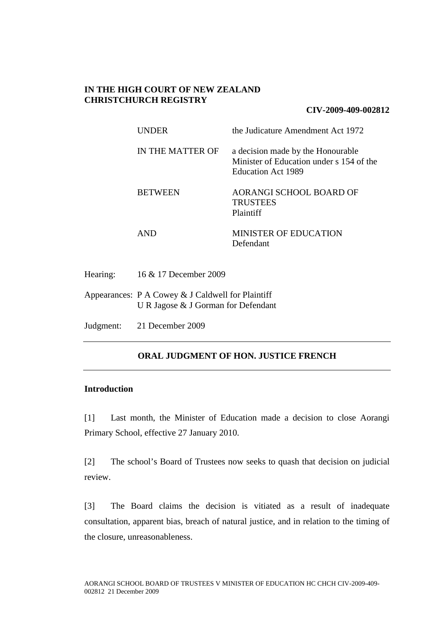## **IN THE HIGH COURT OF NEW ZEALAND CHRISTCHURCH REGISTRY**

### **CIV-2009-409-002812**

| <b>UNDER</b>     | the Judicature Amendment Act 1972                                                                   |
|------------------|-----------------------------------------------------------------------------------------------------|
| IN THE MATTER OF | a decision made by the Honourable<br>Minister of Education under s 154 of the<br>Education Act 1989 |
| <b>BETWEEN</b>   | <b>AORANGI SCHOOL BOARD OF</b><br><b>TRUSTEES</b><br>Plaintiff                                      |
| AND              | <b>MINISTER OF EDUCATION</b><br>Defendant                                                           |

Appearances: P A Cowey & J Caldwell for Plaintiff U R Jagose & J Gorman for Defendant

Judgment: 21 December 2009

# **ORAL JUDGMENT OF HON. JUSTICE FRENCH**

## **Introduction**

[1] Last month, the Minister of Education made a decision to close Aorangi Primary School, effective 27 January 2010.

[2] The school's Board of Trustees now seeks to quash that decision on judicial review.

[3] The Board claims the decision is vitiated as a result of inadequate consultation, apparent bias, breach of natural justice, and in relation to the timing of the closure, unreasonableness.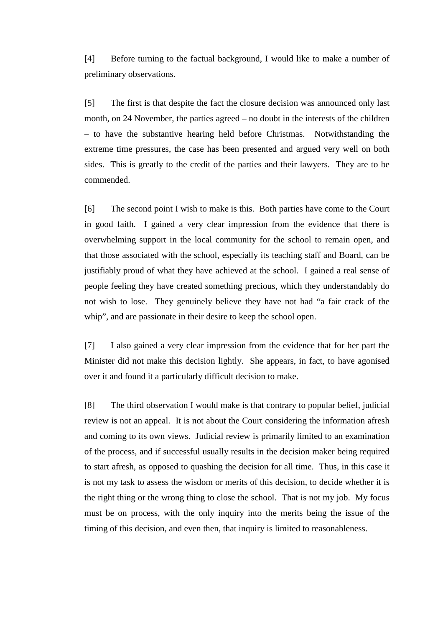[4] Before turning to the factual background, I would like to make a number of preliminary observations.

[5] The first is that despite the fact the closure decision was announced only last month, on 24 November, the parties agreed – no doubt in the interests of the children – to have the substantive hearing held before Christmas. Notwithstanding the extreme time pressures, the case has been presented and argued very well on both sides. This is greatly to the credit of the parties and their lawyers. They are to be commended.

[6] The second point I wish to make is this. Both parties have come to the Court in good faith. I gained a very clear impression from the evidence that there is overwhelming support in the local community for the school to remain open, and that those associated with the school, especially its teaching staff and Board, can be justifiably proud of what they have achieved at the school. I gained a real sense of people feeling they have created something precious, which they understandably do not wish to lose. They genuinely believe they have not had "a fair crack of the whip", and are passionate in their desire to keep the school open.

[7] I also gained a very clear impression from the evidence that for her part the Minister did not make this decision lightly. She appears, in fact, to have agonised over it and found it a particularly difficult decision to make.

[8] The third observation I would make is that contrary to popular belief, judicial review is not an appeal. It is not about the Court considering the information afresh and coming to its own views. Judicial review is primarily limited to an examination of the process, and if successful usually results in the decision maker being required to start afresh, as opposed to quashing the decision for all time. Thus, in this case it is not my task to assess the wisdom or merits of this decision, to decide whether it is the right thing or the wrong thing to close the school. That is not my job. My focus must be on process, with the only inquiry into the merits being the issue of the timing of this decision, and even then, that inquiry is limited to reasonableness.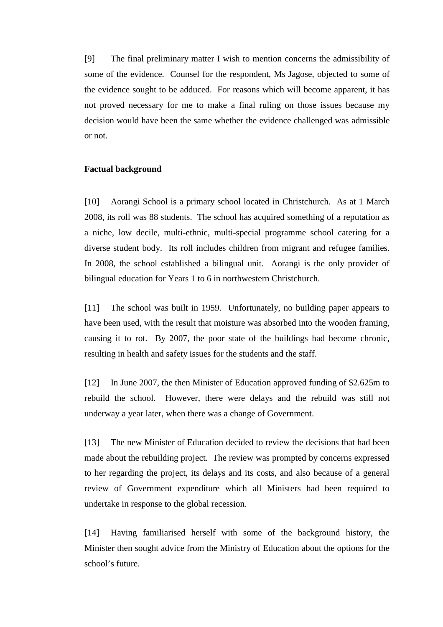[9] The final preliminary matter I wish to mention concerns the admissibility of some of the evidence. Counsel for the respondent, Ms Jagose, objected to some of the evidence sought to be adduced. For reasons which will become apparent, it has not proved necessary for me to make a final ruling on those issues because my decision would have been the same whether the evidence challenged was admissible or not.

## **Factual background**

[10] Aorangi School is a primary school located in Christchurch. As at 1 March 2008, its roll was 88 students. The school has acquired something of a reputation as a niche, low decile, multi-ethnic, multi-special programme school catering for a diverse student body. Its roll includes children from migrant and refugee families. In 2008, the school established a bilingual unit. Aorangi is the only provider of bilingual education for Years 1 to 6 in northwestern Christchurch.

[11] The school was built in 1959. Unfortunately, no building paper appears to have been used, with the result that moisture was absorbed into the wooden framing, causing it to rot. By 2007, the poor state of the buildings had become chronic, resulting in health and safety issues for the students and the staff.

[12] In June 2007, the then Minister of Education approved funding of \$2.625m to rebuild the school. However, there were delays and the rebuild was still not underway a year later, when there was a change of Government.

[13] The new Minister of Education decided to review the decisions that had been made about the rebuilding project. The review was prompted by concerns expressed to her regarding the project, its delays and its costs, and also because of a general review of Government expenditure which all Ministers had been required to undertake in response to the global recession.

[14] Having familiarised herself with some of the background history, the Minister then sought advice from the Ministry of Education about the options for the school's future.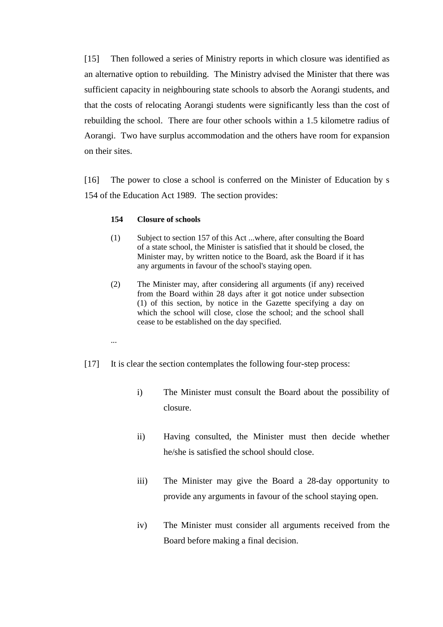[15] Then followed a series of Ministry reports in which closure was identified as an alternative option to rebuilding. The Ministry advised the Minister that there was sufficient capacity in neighbouring state schools to absorb the Aorangi students, and that the costs of relocating Aorangi students were significantly less than the cost of rebuilding the school. There are four other schools within a 1.5 kilometre radius of Aorangi. Two have surplus accommodation and the others have room for expansion on their sites.

[16] The power to close a school is conferred on the Minister of Education by s 154 of the Education Act 1989. The section provides:

### **154 Closure of schools**

- (1) Subject to section 157 of this Act ...where, after consulting the Board of a state school, the Minister is satisfied that it should be closed, the Minister may, by written notice to the Board, ask the Board if it has any arguments in favour of the school's staying open.
- (2) The Minister may, after considering all arguments (if any) received from the Board within 28 days after it got notice under subsection (1) of this section, by notice in the Gazette specifying a day on which the school will close, close the school; and the school shall cease to be established on the day specified.
- ...
- [17] It is clear the section contemplates the following four-step process:
	- i) The Minister must consult the Board about the possibility of closure.
	- ii) Having consulted, the Minister must then decide whether he/she is satisfied the school should close.
	- iii) The Minister may give the Board a 28-day opportunity to provide any arguments in favour of the school staying open.
	- iv) The Minister must consider all arguments received from the Board before making a final decision.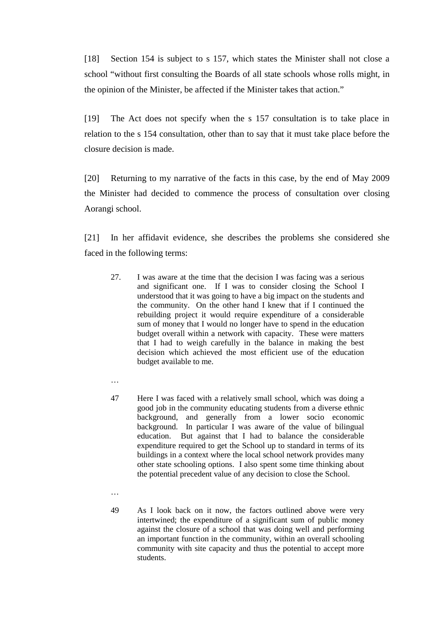[18] Section 154 is subject to s 157, which states the Minister shall not close a school "without first consulting the Boards of all state schools whose rolls might, in the opinion of the Minister, be affected if the Minister takes that action."

[19] The Act does not specify when the s 157 consultation is to take place in relation to the s 154 consultation, other than to say that it must take place before the closure decision is made.

[20] Returning to my narrative of the facts in this case, by the end of May 2009 the Minister had decided to commence the process of consultation over closing Aorangi school.

[21] In her affidavit evidence, she describes the problems she considered she faced in the following terms:

- 27. I was aware at the time that the decision I was facing was a serious and significant one. If I was to consider closing the School I understood that it was going to have a big impact on the students and the community. On the other hand I knew that if I continued the rebuilding project it would require expenditure of a considerable sum of money that I would no longer have to spend in the education budget overall within a network with capacity. These were matters that I had to weigh carefully in the balance in making the best decision which achieved the most efficient use of the education budget available to me.
- …
- 47 Here I was faced with a relatively small school, which was doing a good job in the community educating students from a diverse ethnic background, and generally from a lower socio economic background. In particular I was aware of the value of bilingual education. But against that I had to balance the considerable expenditure required to get the School up to standard in terms of its buildings in a context where the local school network provides many other state schooling options. I also spent some time thinking about the potential precedent value of any decision to close the School.
- …
- 49 As I look back on it now, the factors outlined above were very intertwined; the expenditure of a significant sum of public money against the closure of a school that was doing well and performing an important function in the community, within an overall schooling community with site capacity and thus the potential to accept more students.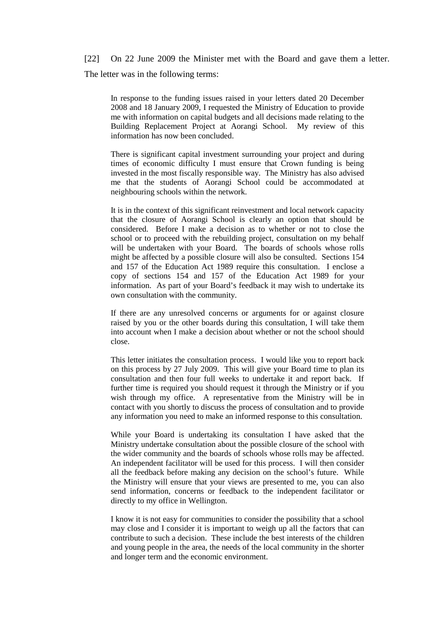[22] On 22 June 2009 the Minister met with the Board and gave them a letter. The letter was in the following terms:

In response to the funding issues raised in your letters dated 20 December 2008 and 18 January 2009, I requested the Ministry of Education to provide me with information on capital budgets and all decisions made relating to the Building Replacement Project at Aorangi School. My review of this information has now been concluded.

There is significant capital investment surrounding your project and during times of economic difficulty I must ensure that Crown funding is being invested in the most fiscally responsible way. The Ministry has also advised me that the students of Aorangi School could be accommodated at neighbouring schools within the network.

It is in the context of this significant reinvestment and local network capacity that the closure of Aorangi School is clearly an option that should be considered. Before I make a decision as to whether or not to close the school or to proceed with the rebuilding project, consultation on my behalf will be undertaken with your Board. The boards of schools whose rolls might be affected by a possible closure will also be consulted. Sections 154 and 157 of the Education Act 1989 require this consultation. I enclose a copy of sections 154 and 157 of the Education Act 1989 for your information. As part of your Board's feedback it may wish to undertake its own consultation with the community.

If there are any unresolved concerns or arguments for or against closure raised by you or the other boards during this consultation, I will take them into account when I make a decision about whether or not the school should close.

This letter initiates the consultation process. I would like you to report back on this process by 27 July 2009. This will give your Board time to plan its consultation and then four full weeks to undertake it and report back. If further time is required you should request it through the Ministry or if you wish through my office. A representative from the Ministry will be in contact with you shortly to discuss the process of consultation and to provide any information you need to make an informed response to this consultation.

While your Board is undertaking its consultation I have asked that the Ministry undertake consultation about the possible closure of the school with the wider community and the boards of schools whose rolls may be affected. An independent facilitator will be used for this process. I will then consider all the feedback before making any decision on the school's future. While the Ministry will ensure that your views are presented to me, you can also send information, concerns or feedback to the independent facilitator or directly to my office in Wellington.

I know it is not easy for communities to consider the possibility that a school may close and I consider it is important to weigh up all the factors that can contribute to such a decision. These include the best interests of the children and young people in the area, the needs of the local community in the shorter and longer term and the economic environment.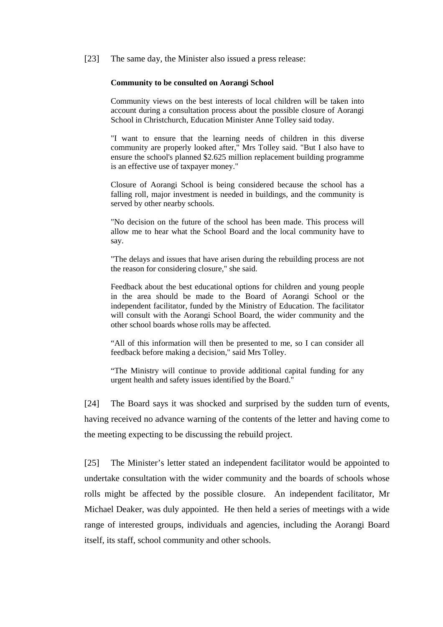[23] The same day, the Minister also issued a press release:

#### **Community to be consulted on Aorangi School**

Community views on the best interests of local children will be taken into account during a consultation process about the possible closure of Aorangi School in Christchurch, Education Minister Anne Tolley said today.

"I want to ensure that the learning needs of children in this diverse community are properly looked after," Mrs Tolley said. "But I also have to ensure the school's planned \$2.625 million replacement building programme is an effective use of taxpayer money."

Closure of Aorangi School is being considered because the school has a falling roll, major investment is needed in buildings, and the community is served by other nearby schools.

"No decision on the future of the school has been made. This process will allow me to hear what the School Board and the local community have to say.

"The delays and issues that have arisen during the rebuilding process are not the reason for considering closure," she said.

Feedback about the best educational options for children and young people in the area should be made to the Board of Aorangi School or the independent facilitator, funded by the Ministry of Education. The facilitator will consult with the Aorangi School Board, the wider community and the other school boards whose rolls may be affected.

"All of this information will then be presented to me, so I can consider all feedback before making a decision," said Mrs Tolley.

"The Ministry will continue to provide additional capital funding for any urgent health and safety issues identified by the Board."

[24] The Board says it was shocked and surprised by the sudden turn of events, having received no advance warning of the contents of the letter and having come to the meeting expecting to be discussing the rebuild project.

[25] The Minister's letter stated an independent facilitator would be appointed to undertake consultation with the wider community and the boards of schools whose rolls might be affected by the possible closure. An independent facilitator, Mr Michael Deaker, was duly appointed. He then held a series of meetings with a wide range of interested groups, individuals and agencies, including the Aorangi Board itself, its staff, school community and other schools.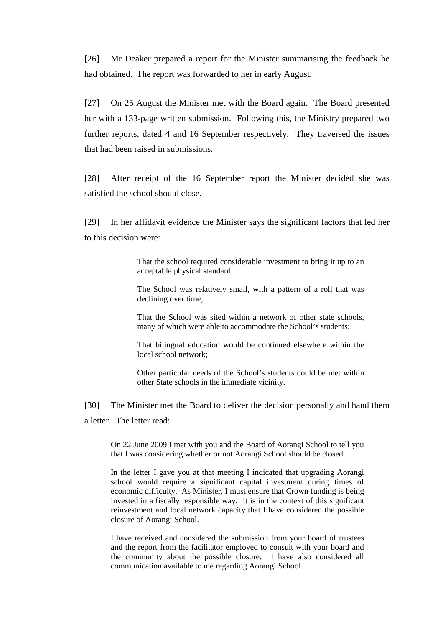[26] Mr Deaker prepared a report for the Minister summarising the feedback he had obtained. The report was forwarded to her in early August.

[27] On 25 August the Minister met with the Board again. The Board presented her with a 133-page written submission. Following this, the Ministry prepared two further reports, dated 4 and 16 September respectively. They traversed the issues that had been raised in submissions.

[28] After receipt of the 16 September report the Minister decided she was satisfied the school should close.

[29] In her affidavit evidence the Minister says the significant factors that led her to this decision were:

> That the school required considerable investment to bring it up to an acceptable physical standard.

> The School was relatively small, with a pattern of a roll that was declining over time;

> That the School was sited within a network of other state schools, many of which were able to accommodate the School's students;

> That bilingual education would be continued elsewhere within the local school network;

> Other particular needs of the School's students could be met within other State schools in the immediate vicinity.

[30] The Minister met the Board to deliver the decision personally and hand them a letter. The letter read:

On 22 June 2009 I met with you and the Board of Aorangi School to tell you that I was considering whether or not Aorangi School should be closed.

In the letter I gave you at that meeting I indicated that upgrading Aorangi school would require a significant capital investment during times of economic difficulty. As Minister, I must ensure that Crown funding is being invested in a fiscally responsible way. It is in the context of this significant reinvestment and local network capacity that I have considered the possible closure of Aorangi School.

I have received and considered the submission from your board of trustees and the report from the facilitator employed to consult with your board and the community about the possible closure. I have also considered all communication available to me regarding Aorangi School.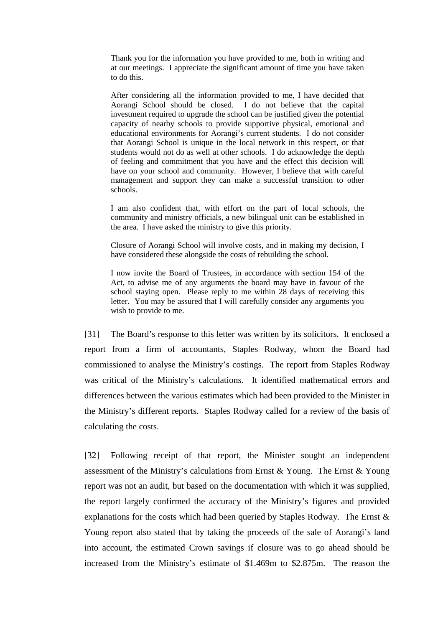Thank you for the information you have provided to me, both in writing and at our meetings. I appreciate the significant amount of time you have taken to do this.

After considering all the information provided to me, I have decided that Aorangi School should be closed. I do not believe that the capital investment required to upgrade the school can be justified given the potential capacity of nearby schools to provide supportive physical, emotional and educational environments for Aorangi's current students. I do not consider that Aorangi School is unique in the local network in this respect, or that students would not do as well at other schools. I do acknowledge the depth of feeling and commitment that you have and the effect this decision will have on your school and community. However, I believe that with careful management and support they can make a successful transition to other schools.

I am also confident that, with effort on the part of local schools, the community and ministry officials, a new bilingual unit can be established in the area. I have asked the ministry to give this priority.

Closure of Aorangi School will involve costs, and in making my decision, I have considered these alongside the costs of rebuilding the school.

I now invite the Board of Trustees, in accordance with section 154 of the Act, to advise me of any arguments the board may have in favour of the school staying open. Please reply to me within 28 days of receiving this letter. You may be assured that I will carefully consider any arguments you wish to provide to me.

[31] The Board's response to this letter was written by its solicitors. It enclosed a report from a firm of accountants, Staples Rodway, whom the Board had commissioned to analyse the Ministry's costings. The report from Staples Rodway was critical of the Ministry's calculations. It identified mathematical errors and differences between the various estimates which had been provided to the Minister in the Ministry's different reports. Staples Rodway called for a review of the basis of calculating the costs.

[32] Following receipt of that report, the Minister sought an independent assessment of the Ministry's calculations from Ernst & Young. The Ernst & Young report was not an audit, but based on the documentation with which it was supplied, the report largely confirmed the accuracy of the Ministry's figures and provided explanations for the costs which had been queried by Staples Rodway. The Ernst & Young report also stated that by taking the proceeds of the sale of Aorangi's land into account, the estimated Crown savings if closure was to go ahead should be increased from the Ministry's estimate of \$1.469m to \$2.875m. The reason the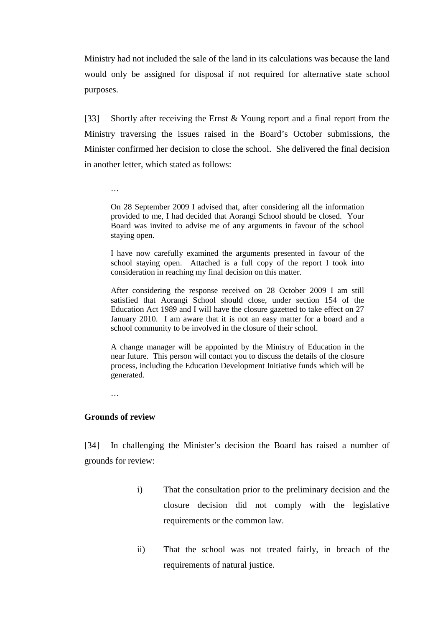Ministry had not included the sale of the land in its calculations was because the land would only be assigned for disposal if not required for alternative state school purposes.

[33] Shortly after receiving the Ernst & Young report and a final report from the Ministry traversing the issues raised in the Board's October submissions, the Minister confirmed her decision to close the school. She delivered the final decision in another letter, which stated as follows:

…

On 28 September 2009 I advised that, after considering all the information provided to me, I had decided that Aorangi School should be closed. Your Board was invited to advise me of any arguments in favour of the school staying open.

I have now carefully examined the arguments presented in favour of the school staying open. Attached is a full copy of the report I took into consideration in reaching my final decision on this matter.

After considering the response received on 28 October 2009 I am still satisfied that Aorangi School should close, under section 154 of the Education Act 1989 and I will have the closure gazetted to take effect on 27 January 2010. I am aware that it is not an easy matter for a board and a school community to be involved in the closure of their school.

A change manager will be appointed by the Ministry of Education in the near future. This person will contact you to discuss the details of the closure process, including the Education Development Initiative funds which will be generated.

…

## **Grounds of review**

[34] In challenging the Minister's decision the Board has raised a number of grounds for review:

- i) That the consultation prior to the preliminary decision and the closure decision did not comply with the legislative requirements or the common law.
- ii) That the school was not treated fairly, in breach of the requirements of natural justice.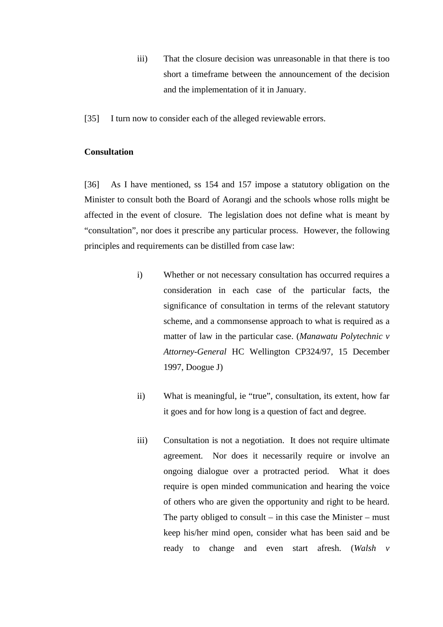- iii) That the closure decision was unreasonable in that there is too short a timeframe between the announcement of the decision and the implementation of it in January.
- [35] I turn now to consider each of the alleged reviewable errors.

## **Consultation**

[36] As I have mentioned, ss 154 and 157 impose a statutory obligation on the Minister to consult both the Board of Aorangi and the schools whose rolls might be affected in the event of closure. The legislation does not define what is meant by "consultation", nor does it prescribe any particular process. However, the following principles and requirements can be distilled from case law:

- i) Whether or not necessary consultation has occurred requires a consideration in each case of the particular facts, the significance of consultation in terms of the relevant statutory scheme, and a commonsense approach to what is required as a matter of law in the particular case. (*Manawatu Polytechnic v Attorney-General* HC Wellington CP324/97, 15 December 1997, Doogue J)
- ii) What is meaningful, ie "true", consultation, its extent, how far it goes and for how long is a question of fact and degree.
- iii) Consultation is not a negotiation. It does not require ultimate agreement. Nor does it necessarily require or involve an ongoing dialogue over a protracted period. What it does require is open minded communication and hearing the voice of others who are given the opportunity and right to be heard. The party obliged to consult – in this case the Minister – must keep his/her mind open, consider what has been said and be ready to change and even start afresh. (*Walsh v*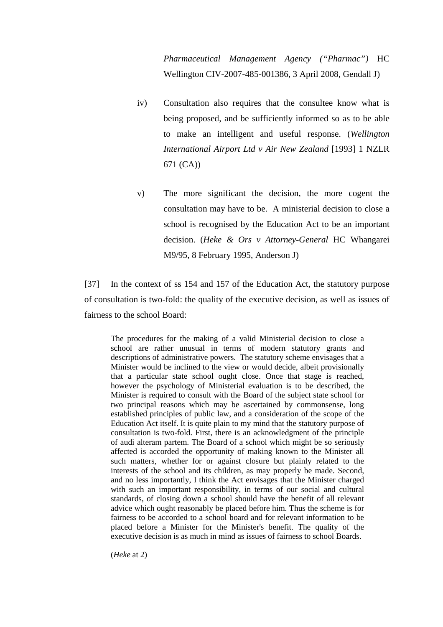*Pharmaceutical Management Agency ("Pharmac")* HC Wellington CIV-2007-485-001386, 3 April 2008, Gendall J)

- iv) Consultation also requires that the consultee know what is being proposed, and be sufficiently informed so as to be able to make an intelligent and useful response. (*Wellington International Airport Ltd v Air New Zealand* [1993] 1 NZLR 671 (CA))
- v) The more significant the decision, the more cogent the consultation may have to be. A ministerial decision to close a school is recognised by the Education Act to be an important decision. (*Heke & Ors v Attorney-General* HC Whangarei M9/95, 8 February 1995, Anderson J)

[37] In the context of ss 154 and 157 of the Education Act, the statutory purpose of consultation is two-fold: the quality of the executive decision, as well as issues of fairness to the school Board:

The procedures for the making of a valid Ministerial decision to close a school are rather unusual in terms of modern statutory grants and descriptions of administrative powers. The statutory scheme envisages that a Minister would be inclined to the view or would decide, albeit provisionally that a particular state school ought close. Once that stage is reached, however the psychology of Ministerial evaluation is to be described, the Minister is required to consult with the Board of the subject state school for two principal reasons which may be ascertained by commonsense, long established principles of public law, and a consideration of the scope of the Education Act itself. It is quite plain to my mind that the statutory purpose of consultation is two-fold. First, there is an acknowledgment of the principle of audi alteram partem. The Board of a school which might be so seriously affected is accorded the opportunity of making known to the Minister all such matters, whether for or against closure but plainly related to the interests of the school and its children, as may properly be made. Second, and no less importantly, I think the Act envisages that the Minister charged with such an important responsibility, in terms of our social and cultural standards, of closing down a school should have the benefit of all relevant advice which ought reasonably be placed before him. Thus the scheme is for fairness to be accorded to a school board and for relevant information to be placed before a Minister for the Minister's benefit. The quality of the executive decision is as much in mind as issues of fairness to school Boards.

(*Heke* at 2)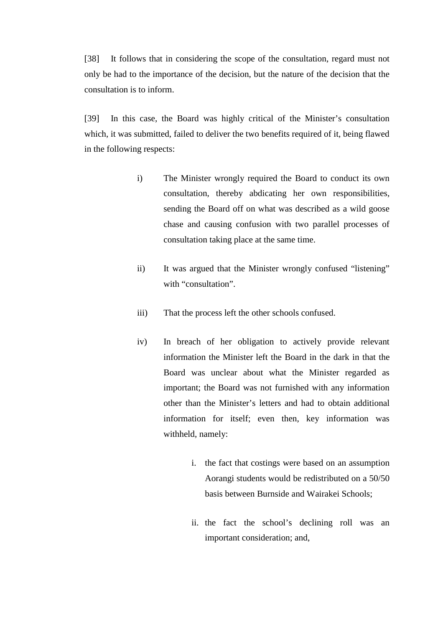[38] It follows that in considering the scope of the consultation, regard must not only be had to the importance of the decision, but the nature of the decision that the consultation is to inform.

[39] In this case, the Board was highly critical of the Minister's consultation which, it was submitted, failed to deliver the two benefits required of it, being flawed in the following respects:

- i) The Minister wrongly required the Board to conduct its own consultation, thereby abdicating her own responsibilities, sending the Board off on what was described as a wild goose chase and causing confusion with two parallel processes of consultation taking place at the same time.
- ii) It was argued that the Minister wrongly confused "listening" with "consultation".
- iii) That the process left the other schools confused.
- iv) In breach of her obligation to actively provide relevant information the Minister left the Board in the dark in that the Board was unclear about what the Minister regarded as important; the Board was not furnished with any information other than the Minister's letters and had to obtain additional information for itself; even then, key information was withheld, namely:
	- i. the fact that costings were based on an assumption Aorangi students would be redistributed on a 50/50 basis between Burnside and Wairakei Schools;
	- ii. the fact the school's declining roll was an important consideration; and,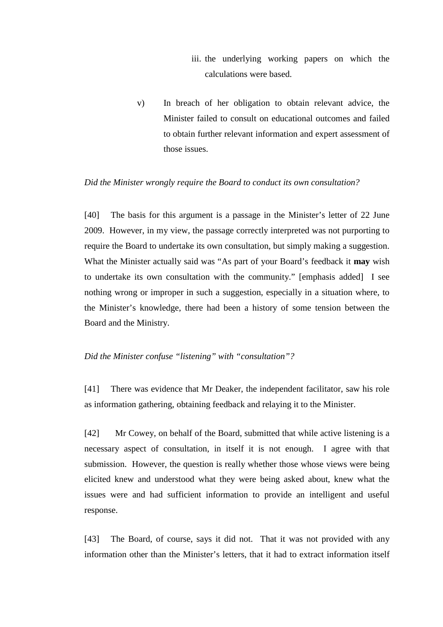- iii. the underlying working papers on which the calculations were based.
- v) In breach of her obligation to obtain relevant advice, the Minister failed to consult on educational outcomes and failed to obtain further relevant information and expert assessment of those issues.

### *Did the Minister wrongly require the Board to conduct its own consultation?*

[40] The basis for this argument is a passage in the Minister's letter of 22 June 2009. However, in my view, the passage correctly interpreted was not purporting to require the Board to undertake its own consultation, but simply making a suggestion. What the Minister actually said was "As part of your Board's feedback it **may** wish to undertake its own consultation with the community." [emphasis added] I see nothing wrong or improper in such a suggestion, especially in a situation where, to the Minister's knowledge, there had been a history of some tension between the Board and the Ministry.

## *Did the Minister confuse "listening" with "consultation"?*

[41] There was evidence that Mr Deaker, the independent facilitator, saw his role as information gathering, obtaining feedback and relaying it to the Minister.

[42] Mr Cowey, on behalf of the Board, submitted that while active listening is a necessary aspect of consultation, in itself it is not enough. I agree with that submission. However, the question is really whether those whose views were being elicited knew and understood what they were being asked about, knew what the issues were and had sufficient information to provide an intelligent and useful response.

[43] The Board, of course, says it did not. That it was not provided with any information other than the Minister's letters, that it had to extract information itself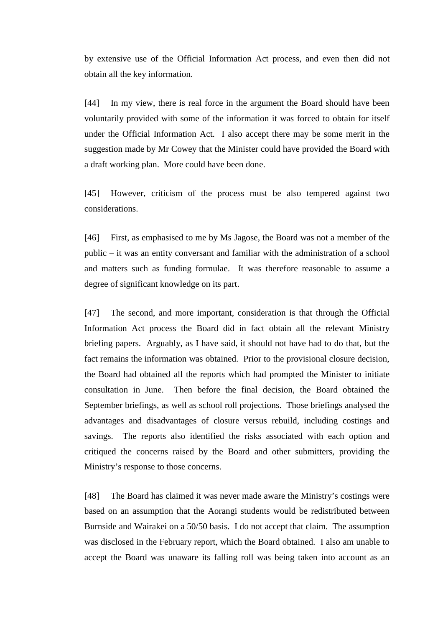by extensive use of the Official Information Act process, and even then did not obtain all the key information.

[44] In my view, there is real force in the argument the Board should have been voluntarily provided with some of the information it was forced to obtain for itself under the Official Information Act. I also accept there may be some merit in the suggestion made by Mr Cowey that the Minister could have provided the Board with a draft working plan. More could have been done.

[45] However, criticism of the process must be also tempered against two considerations.

[46] First, as emphasised to me by Ms Jagose, the Board was not a member of the public – it was an entity conversant and familiar with the administration of a school and matters such as funding formulae. It was therefore reasonable to assume a degree of significant knowledge on its part.

[47] The second, and more important, consideration is that through the Official Information Act process the Board did in fact obtain all the relevant Ministry briefing papers. Arguably, as I have said, it should not have had to do that, but the fact remains the information was obtained. Prior to the provisional closure decision, the Board had obtained all the reports which had prompted the Minister to initiate consultation in June. Then before the final decision, the Board obtained the September briefings, as well as school roll projections. Those briefings analysed the advantages and disadvantages of closure versus rebuild, including costings and savings. The reports also identified the risks associated with each option and critiqued the concerns raised by the Board and other submitters, providing the Ministry's response to those concerns.

[48] The Board has claimed it was never made aware the Ministry's costings were based on an assumption that the Aorangi students would be redistributed between Burnside and Wairakei on a 50/50 basis. I do not accept that claim. The assumption was disclosed in the February report, which the Board obtained. I also am unable to accept the Board was unaware its falling roll was being taken into account as an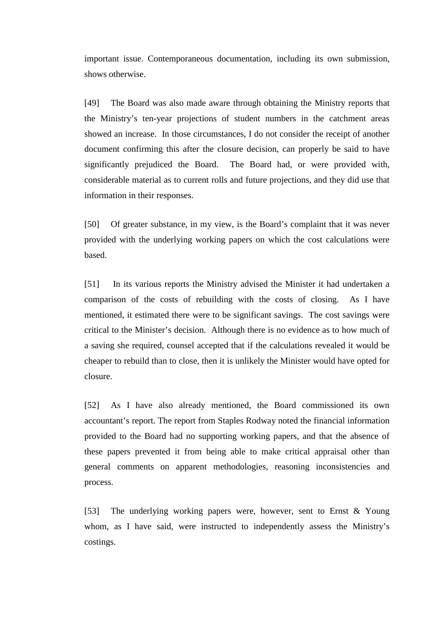important issue. Contemporaneous documentation, including its own submission, shows otherwise.

[49] The Board was also made aware through obtaining the Ministry reports that the Ministry's ten-year projections of student numbers in the catchment areas showed an increase. In those circumstances, I do not consider the receipt of another document confirming this after the closure decision, can properly be said to have significantly prejudiced the Board. The Board had, or were provided with, considerable material as to current rolls and future projections, and they did use that information in their responses.

[50] Of greater substance, in my view, is the Board's complaint that it was never provided with the underlying working papers on which the cost calculations were based.

[51] In its various reports the Ministry advised the Minister it had undertaken a comparison of the costs of rebuilding with the costs of closing. As I have mentioned, it estimated there were to be significant savings. The cost savings were critical to the Minister's decision. Although there is no evidence as to how much of a saving she required, counsel accepted that if the calculations revealed it would be cheaper to rebuild than to close, then it is unlikely the Minister would have opted for closure.

[52] As I have also already mentioned, the Board commissioned its own accountant's report. The report from Staples Rodway noted the financial information provided to the Board had no supporting working papers, and that the absence of these papers prevented it from being able to make critical appraisal other than general comments on apparent methodologies, reasoning inconsistencies and process.

[53] The underlying working papers were, however, sent to Ernst & Young whom, as I have said, were instructed to independently assess the Ministry's costings.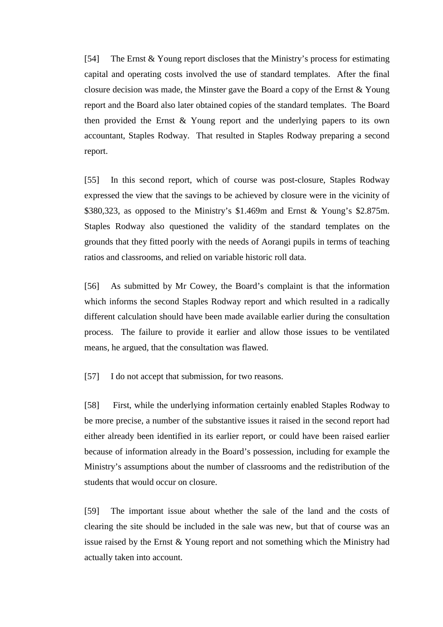[54] The Ernst & Young report discloses that the Ministry's process for estimating capital and operating costs involved the use of standard templates. After the final closure decision was made, the Minster gave the Board a copy of the Ernst & Young report and the Board also later obtained copies of the standard templates. The Board then provided the Ernst & Young report and the underlying papers to its own accountant, Staples Rodway. That resulted in Staples Rodway preparing a second report.

[55] In this second report, which of course was post-closure, Staples Rodway expressed the view that the savings to be achieved by closure were in the vicinity of \$380,323, as opposed to the Ministry's \$1.469m and Ernst & Young's \$2.875m. Staples Rodway also questioned the validity of the standard templates on the grounds that they fitted poorly with the needs of Aorangi pupils in terms of teaching ratios and classrooms, and relied on variable historic roll data.

[56] As submitted by Mr Cowey, the Board's complaint is that the information which informs the second Staples Rodway report and which resulted in a radically different calculation should have been made available earlier during the consultation process. The failure to provide it earlier and allow those issues to be ventilated means, he argued, that the consultation was flawed.

[57] I do not accept that submission, for two reasons.

[58] First, while the underlying information certainly enabled Staples Rodway to be more precise, a number of the substantive issues it raised in the second report had either already been identified in its earlier report, or could have been raised earlier because of information already in the Board's possession, including for example the Ministry's assumptions about the number of classrooms and the redistribution of the students that would occur on closure.

[59] The important issue about whether the sale of the land and the costs of clearing the site should be included in the sale was new, but that of course was an issue raised by the Ernst & Young report and not something which the Ministry had actually taken into account.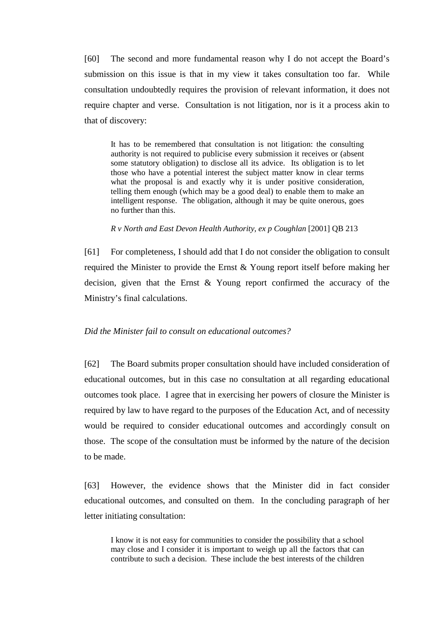[60] The second and more fundamental reason why I do not accept the Board's submission on this issue is that in my view it takes consultation too far. While consultation undoubtedly requires the provision of relevant information, it does not require chapter and verse. Consultation is not litigation, nor is it a process akin to that of discovery:

It has to be remembered that consultation is not litigation: the consulting authority is not required to publicise every submission it receives or (absent some statutory obligation) to disclose all its advice. Its obligation is to let those who have a potential interest the subject matter know in clear terms what the proposal is and exactly why it is under positive consideration, telling them enough (which may be a good deal) to enable them to make an intelligent response. The obligation, although it may be quite onerous, goes no further than this.

*R v North and East Devon Health Authority, ex p Coughlan* [2001] QB 213

[61] For completeness, I should add that I do not consider the obligation to consult required the Minister to provide the Ernst & Young report itself before making her decision, given that the Ernst & Young report confirmed the accuracy of the Ministry's final calculations.

## *Did the Minister fail to consult on educational outcomes?*

[62] The Board submits proper consultation should have included consideration of educational outcomes, but in this case no consultation at all regarding educational outcomes took place. I agree that in exercising her powers of closure the Minister is required by law to have regard to the purposes of the Education Act, and of necessity would be required to consider educational outcomes and accordingly consult on those. The scope of the consultation must be informed by the nature of the decision to be made.

[63] However, the evidence shows that the Minister did in fact consider educational outcomes, and consulted on them. In the concluding paragraph of her letter initiating consultation:

I know it is not easy for communities to consider the possibility that a school may close and I consider it is important to weigh up all the factors that can contribute to such a decision. These include the best interests of the children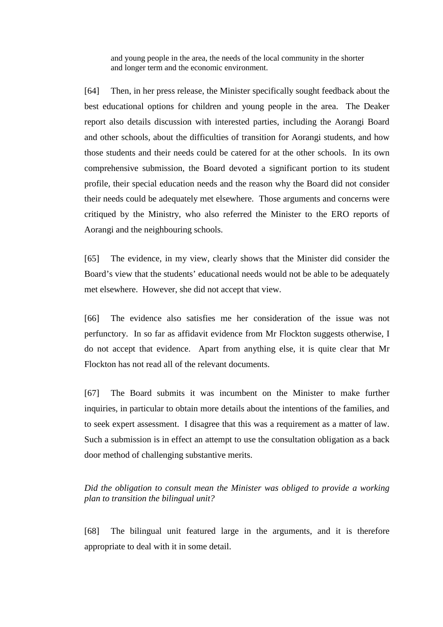and young people in the area, the needs of the local community in the shorter and longer term and the economic environment.

[64] Then, in her press release, the Minister specifically sought feedback about the best educational options for children and young people in the area. The Deaker report also details discussion with interested parties, including the Aorangi Board and other schools, about the difficulties of transition for Aorangi students, and how those students and their needs could be catered for at the other schools. In its own comprehensive submission, the Board devoted a significant portion to its student profile, their special education needs and the reason why the Board did not consider their needs could be adequately met elsewhere. Those arguments and concerns were critiqued by the Ministry, who also referred the Minister to the ERO reports of Aorangi and the neighbouring schools.

[65] The evidence, in my view, clearly shows that the Minister did consider the Board's view that the students' educational needs would not be able to be adequately met elsewhere. However, she did not accept that view.

[66] The evidence also satisfies me her consideration of the issue was not perfunctory. In so far as affidavit evidence from Mr Flockton suggests otherwise, I do not accept that evidence. Apart from anything else, it is quite clear that Mr Flockton has not read all of the relevant documents.

[67] The Board submits it was incumbent on the Minister to make further inquiries, in particular to obtain more details about the intentions of the families, and to seek expert assessment. I disagree that this was a requirement as a matter of law. Such a submission is in effect an attempt to use the consultation obligation as a back door method of challenging substantive merits.

*Did the obligation to consult mean the Minister was obliged to provide a working plan to transition the bilingual unit?* 

[68] The bilingual unit featured large in the arguments, and it is therefore appropriate to deal with it in some detail.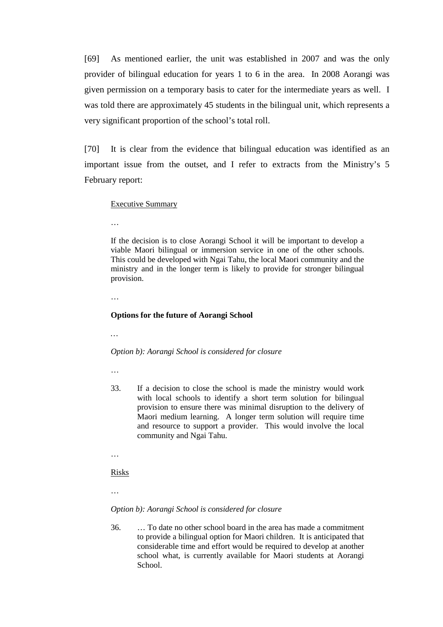[69] As mentioned earlier, the unit was established in 2007 and was the only provider of bilingual education for years 1 to 6 in the area. In 2008 Aorangi was given permission on a temporary basis to cater for the intermediate years as well. I was told there are approximately 45 students in the bilingual unit, which represents a very significant proportion of the school's total roll.

[70] It is clear from the evidence that bilingual education was identified as an important issue from the outset, and I refer to extracts from the Ministry's 5 February report:

#### Executive Summary

…

If the decision is to close Aorangi School it will be important to develop a viable Maori bilingual or immersion service in one of the other schools. This could be developed with Ngai Tahu, the local Maori community and the ministry and in the longer term is likely to provide for stronger bilingual provision.

…

#### **Options for the future of Aorangi School**

*…* 

#### *Option b): Aorangi School is considered for closure*

…

33. If a decision to close the school is made the ministry would work with local schools to identify a short term solution for bilingual provision to ensure there was minimal disruption to the delivery of Maori medium learning. A longer term solution will require time and resource to support a provider. This would involve the local community and Ngai Tahu.

…

#### Risks

…

#### *Option b): Aorangi School is considered for closure*

36. … To date no other school board in the area has made a commitment to provide a bilingual option for Maori children. It is anticipated that considerable time and effort would be required to develop at another school what, is currently available for Maori students at Aorangi School.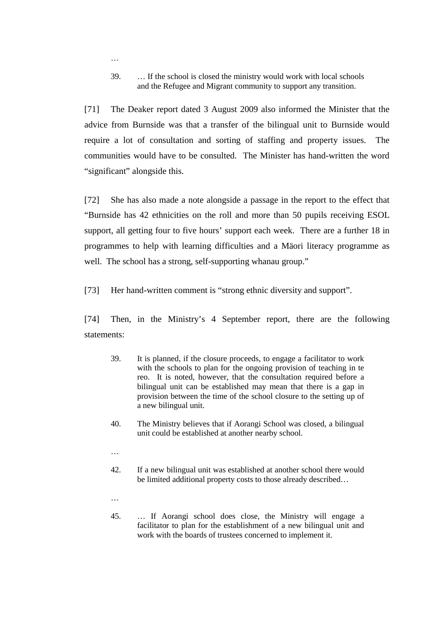39. … If the school is closed the ministry would work with local schools and the Refugee and Migrant community to support any transition.

[71] The Deaker report dated 3 August 2009 also informed the Minister that the advice from Burnside was that a transfer of the bilingual unit to Burnside would require a lot of consultation and sorting of staffing and property issues. The communities would have to be consulted. The Minister has hand-written the word "significant" alongside this.

[72] She has also made a note alongside a passage in the report to the effect that "Burnside has 42 ethnicities on the roll and more than 50 pupils receiving ESOL support, all getting four to five hours' support each week. There are a further 18 in programmes to help with learning difficulties and a Mäori literacy programme as well. The school has a strong, self-supporting whanau group."

[73] Her hand-written comment is "strong ethnic diversity and support".

[74] Then, in the Ministry's 4 September report, there are the following statements:

- 39. It is planned, if the closure proceeds, to engage a facilitator to work with the schools to plan for the ongoing provision of teaching in te reo. It is noted, however, that the consultation required before a bilingual unit can be established may mean that there is a gap in provision between the time of the school closure to the setting up of a new bilingual unit.
- 40. The Ministry believes that if Aorangi School was closed, a bilingual unit could be established at another nearby school.
- …

…

- 42. If a new bilingual unit was established at another school there would be limited additional property costs to those already described…
- …
- 45. … If Aorangi school does close, the Ministry will engage a facilitator to plan for the establishment of a new bilingual unit and work with the boards of trustees concerned to implement it.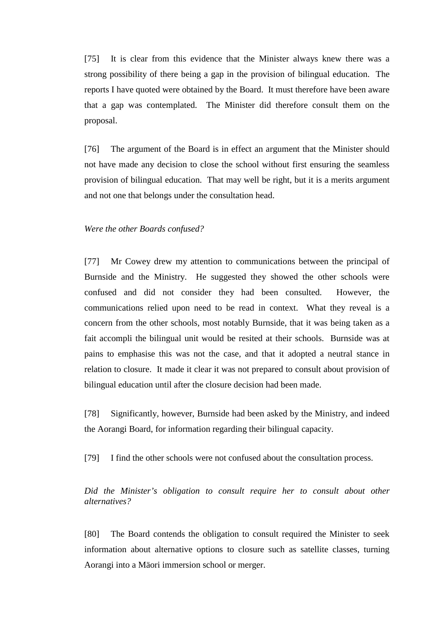[75] It is clear from this evidence that the Minister always knew there was a strong possibility of there being a gap in the provision of bilingual education. The reports I have quoted were obtained by the Board. It must therefore have been aware that a gap was contemplated. The Minister did therefore consult them on the proposal.

[76] The argument of the Board is in effect an argument that the Minister should not have made any decision to close the school without first ensuring the seamless provision of bilingual education. That may well be right, but it is a merits argument and not one that belongs under the consultation head.

### *Were the other Boards confused?*

[77] Mr Cowey drew my attention to communications between the principal of Burnside and the Ministry. He suggested they showed the other schools were confused and did not consider they had been consulted. However, the communications relied upon need to be read in context. What they reveal is a concern from the other schools, most notably Burnside, that it was being taken as a fait accompli the bilingual unit would be resited at their schools. Burnside was at pains to emphasise this was not the case, and that it adopted a neutral stance in relation to closure. It made it clear it was not prepared to consult about provision of bilingual education until after the closure decision had been made.

[78] Significantly, however, Burnside had been asked by the Ministry, and indeed the Aorangi Board, for information regarding their bilingual capacity.

[79] I find the other schools were not confused about the consultation process.

*Did the Minister's obligation to consult require her to consult about other alternatives?* 

[80] The Board contends the obligation to consult required the Minister to seek information about alternative options to closure such as satellite classes, turning Aorangi into a Mäori immersion school or merger.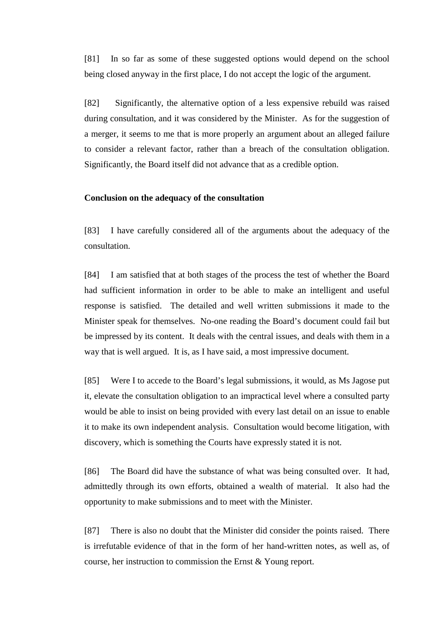[81] In so far as some of these suggested options would depend on the school being closed anyway in the first place, I do not accept the logic of the argument.

[82] Significantly, the alternative option of a less expensive rebuild was raised during consultation, and it was considered by the Minister. As for the suggestion of a merger, it seems to me that is more properly an argument about an alleged failure to consider a relevant factor, rather than a breach of the consultation obligation. Significantly, the Board itself did not advance that as a credible option.

#### **Conclusion on the adequacy of the consultation**

[83] I have carefully considered all of the arguments about the adequacy of the consultation.

[84] I am satisfied that at both stages of the process the test of whether the Board had sufficient information in order to be able to make an intelligent and useful response is satisfied. The detailed and well written submissions it made to the Minister speak for themselves. No-one reading the Board's document could fail but be impressed by its content. It deals with the central issues, and deals with them in a way that is well argued. It is, as I have said, a most impressive document.

[85] Were I to accede to the Board's legal submissions, it would, as Ms Jagose put it, elevate the consultation obligation to an impractical level where a consulted party would be able to insist on being provided with every last detail on an issue to enable it to make its own independent analysis. Consultation would become litigation, with discovery, which is something the Courts have expressly stated it is not.

[86] The Board did have the substance of what was being consulted over. It had, admittedly through its own efforts, obtained a wealth of material. It also had the opportunity to make submissions and to meet with the Minister.

[87] There is also no doubt that the Minister did consider the points raised. There is irrefutable evidence of that in the form of her hand-written notes, as well as, of course, her instruction to commission the Ernst & Young report.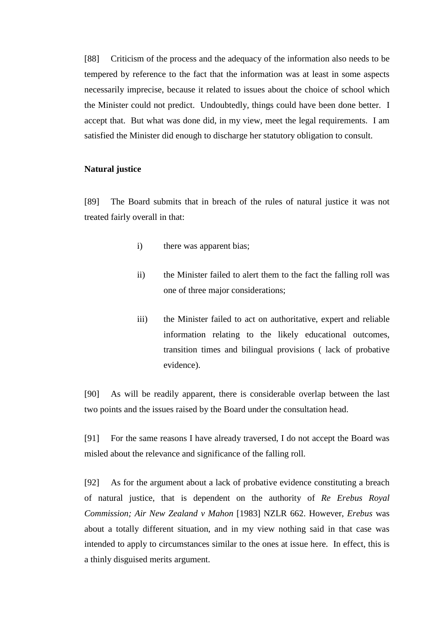[88] Criticism of the process and the adequacy of the information also needs to be tempered by reference to the fact that the information was at least in some aspects necessarily imprecise, because it related to issues about the choice of school which the Minister could not predict. Undoubtedly, things could have been done better. I accept that. But what was done did, in my view, meet the legal requirements. I am satisfied the Minister did enough to discharge her statutory obligation to consult.

## **Natural justice**

[89] The Board submits that in breach of the rules of natural justice it was not treated fairly overall in that:

- i) there was apparent bias;
- ii) the Minister failed to alert them to the fact the falling roll was one of three major considerations;
- iii) the Minister failed to act on authoritative, expert and reliable information relating to the likely educational outcomes, transition times and bilingual provisions ( lack of probative evidence).

[90] As will be readily apparent, there is considerable overlap between the last two points and the issues raised by the Board under the consultation head.

[91] For the same reasons I have already traversed, I do not accept the Board was misled about the relevance and significance of the falling roll.

[92] As for the argument about a lack of probative evidence constituting a breach of natural justice, that is dependent on the authority of *Re Erebus Royal Commission; Air New Zealand v Mahon* [1983] NZLR 662. However, *Erebus* was about a totally different situation, and in my view nothing said in that case was intended to apply to circumstances similar to the ones at issue here. In effect, this is a thinly disguised merits argument.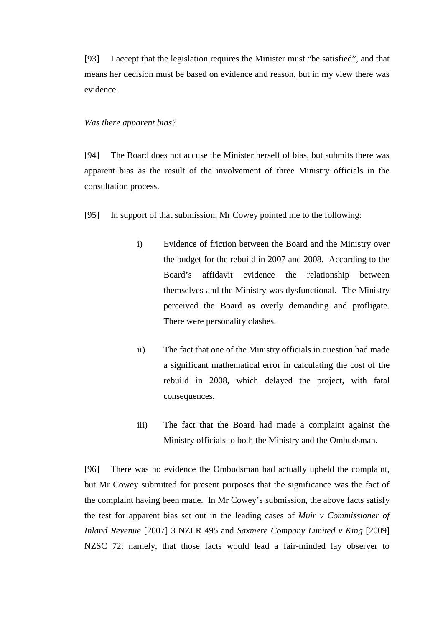[93] I accept that the legislation requires the Minister must "be satisfied", and that means her decision must be based on evidence and reason, but in my view there was evidence.

#### *Was there apparent bias?*

[94] The Board does not accuse the Minister herself of bias, but submits there was apparent bias as the result of the involvement of three Ministry officials in the consultation process.

- [95] In support of that submission, Mr Cowey pointed me to the following:
	- i) Evidence of friction between the Board and the Ministry over the budget for the rebuild in 2007 and 2008. According to the Board's affidavit evidence the relationship between themselves and the Ministry was dysfunctional. The Ministry perceived the Board as overly demanding and profligate. There were personality clashes.
	- ii) The fact that one of the Ministry officials in question had made a significant mathematical error in calculating the cost of the rebuild in 2008, which delayed the project, with fatal consequences.
	- iii) The fact that the Board had made a complaint against the Ministry officials to both the Ministry and the Ombudsman.

[96] There was no evidence the Ombudsman had actually upheld the complaint, but Mr Cowey submitted for present purposes that the significance was the fact of the complaint having been made. In Mr Cowey's submission, the above facts satisfy the test for apparent bias set out in the leading cases of *Muir v Commissioner of Inland Revenue* [2007] 3 NZLR 495 and *Saxmere Company Limited v King* [2009] NZSC 72: namely, that those facts would lead a fair-minded lay observer to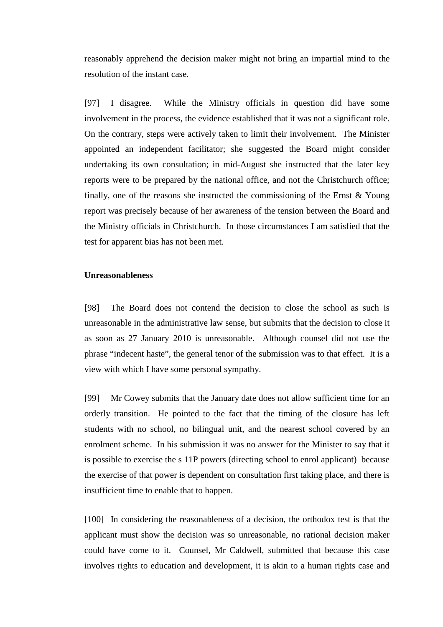reasonably apprehend the decision maker might not bring an impartial mind to the resolution of the instant case.

[97] I disagree. While the Ministry officials in question did have some involvement in the process, the evidence established that it was not a significant role. On the contrary, steps were actively taken to limit their involvement. The Minister appointed an independent facilitator; she suggested the Board might consider undertaking its own consultation; in mid-August she instructed that the later key reports were to be prepared by the national office, and not the Christchurch office; finally, one of the reasons she instructed the commissioning of the Ernst & Young report was precisely because of her awareness of the tension between the Board and the Ministry officials in Christchurch. In those circumstances I am satisfied that the test for apparent bias has not been met.

## **Unreasonableness**

[98] The Board does not contend the decision to close the school as such is unreasonable in the administrative law sense, but submits that the decision to close it as soon as 27 January 2010 is unreasonable. Although counsel did not use the phrase "indecent haste", the general tenor of the submission was to that effect. It is a view with which I have some personal sympathy.

[99] Mr Cowey submits that the January date does not allow sufficient time for an orderly transition. He pointed to the fact that the timing of the closure has left students with no school, no bilingual unit, and the nearest school covered by an enrolment scheme. In his submission it was no answer for the Minister to say that it is possible to exercise the s 11P powers (directing school to enrol applicant) because the exercise of that power is dependent on consultation first taking place, and there is insufficient time to enable that to happen.

[100] In considering the reasonableness of a decision, the orthodox test is that the applicant must show the decision was so unreasonable, no rational decision maker could have come to it. Counsel, Mr Caldwell, submitted that because this case involves rights to education and development, it is akin to a human rights case and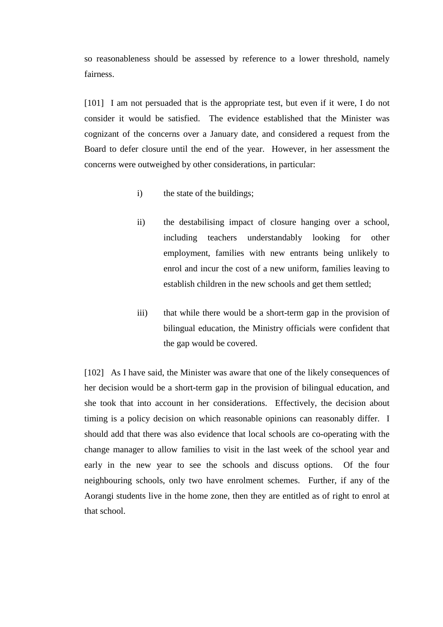so reasonableness should be assessed by reference to a lower threshold, namely fairness.

[101] I am not persuaded that is the appropriate test, but even if it were, I do not consider it would be satisfied. The evidence established that the Minister was cognizant of the concerns over a January date, and considered a request from the Board to defer closure until the end of the year. However, in her assessment the concerns were outweighed by other considerations, in particular:

- i) the state of the buildings;
- ii) the destabilising impact of closure hanging over a school, including teachers understandably looking for other employment, families with new entrants being unlikely to enrol and incur the cost of a new uniform, families leaving to establish children in the new schools and get them settled;
- iii) that while there would be a short-term gap in the provision of bilingual education, the Ministry officials were confident that the gap would be covered.

[102] As I have said, the Minister was aware that one of the likely consequences of her decision would be a short-term gap in the provision of bilingual education, and she took that into account in her considerations. Effectively, the decision about timing is a policy decision on which reasonable opinions can reasonably differ. I should add that there was also evidence that local schools are co-operating with the change manager to allow families to visit in the last week of the school year and early in the new year to see the schools and discuss options. Of the four neighbouring schools, only two have enrolment schemes. Further, if any of the Aorangi students live in the home zone, then they are entitled as of right to enrol at that school.